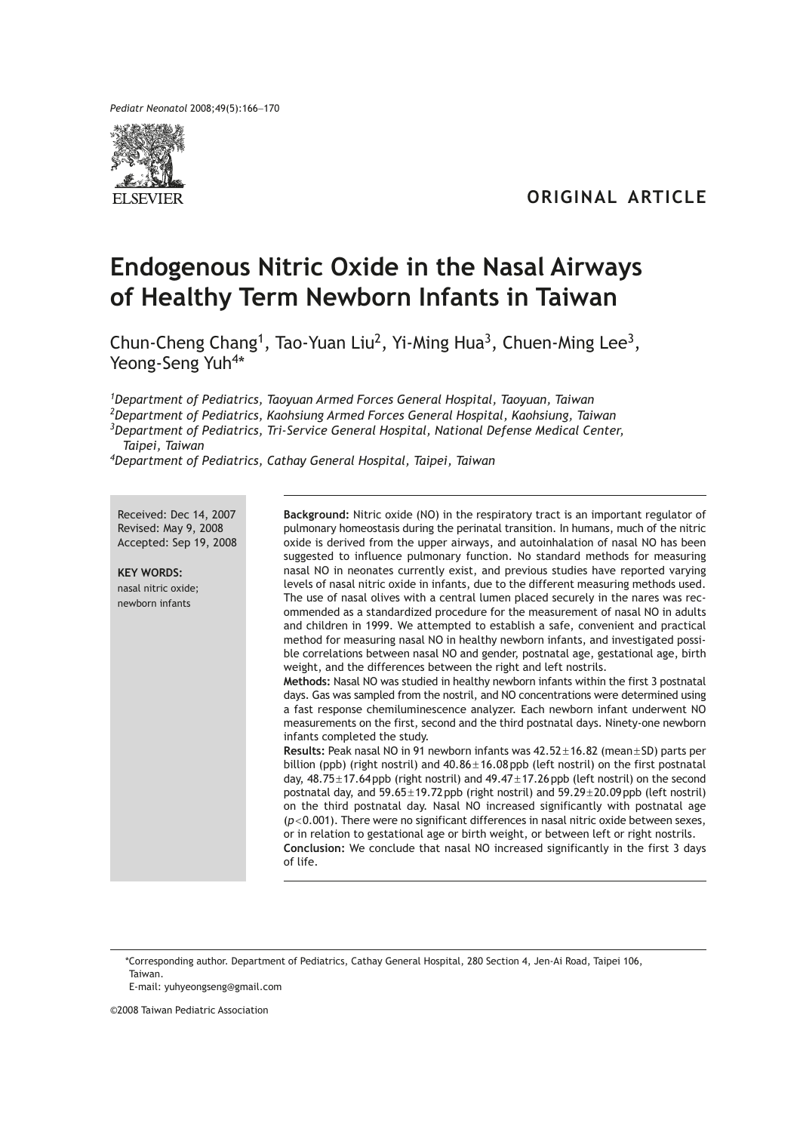*Pediatr Neonatol* 2008;49(5):166−170



# **ORIGINAL ARTICLE**

# **Endogenous Nitric Oxide in the Nasal Airways of Healthy Term Newborn Infants in Taiwan**

Chun-Cheng Chang<sup>1</sup>, Tao-Yuan Liu<sup>2</sup>, Yi-Ming Hua<sup>3</sup>, Chuen-Ming Lee<sup>3</sup>, Yeong-Seng Yuh<sup>4\*</sup>

 *Department of Pediatrics, Taoyuan Armed Forces General Hospital, Taoyuan, Taiwan Department of Pediatrics, Kaohsiung Armed Forces General Hospital, Kaohsiung, Taiwan Department of Pediatrics, Tri-Service General Hospital, National Defense Medical Center, Taipei, Taiwan*

*4 Department of Pediatrics, Cathay General Hospital, Taipei, Taiwan*

Received: Dec 14, 2007 Revised: May 9, 2008 Accepted: Sep 19, 2008

**KEY WORDS:** nasal nitric oxide; newborn infants

**Background:** Nitric oxide (NO) in the respiratory tract is an important regulator of pulmonary homeostasis during the perinatal transition. In humans, much of the nitric oxide is derived from the upper airways, and autoinhalation of nasal NO has been suggested to influence pulmonary function. No standard methods for measuring nasal NO in neonates currently exist, and previous studies have reported varying levels of nasal nitric oxide in infants, due to the different measuring methods used. The use of nasal olives with a central lumen placed securely in the nares was recommended as a standardized procedure for the measurement of nasal NO in adults and children in 1999. We attempted to establish a safe, convenient and practical method for measuring nasal NO in healthy newborn infants, and investigated possible correlations between nasal NO and gender, postnatal age, gestational age, birth weight, and the differences between the right and left nostrils. **Methods:** Nasal NO was studied in healthy newborn infants within the first 3 postnatal days. Gas was sampled from the nostril, and NO concentrations were determined using a fast response chemiluminescence analyzer. Each newborn infant underwent NO measurements on the first, second and the third postnatal days. Ninety-one newborn infants completed the study. **Results:** Peak nasal NO in 91 newborn infants was 42.52 ± 16.82 (mean ± SD) parts per billion (ppb) (right nostril) and  $40.86 \pm 16.08$  ppb (left nostril) on the first postnatal day,  $48.75 \pm 17.64$  ppb (right nostril) and  $49.47 \pm 17.26$  ppb (left nostril) on the second postnatal day, and  $59.65 \pm 19.72$  ppb (right nostril) and  $59.29 \pm 20.09$  ppb (left nostril) on the third postnatal day. Nasal NO increased significantly with postnatal age (*p*< 0.001). There were no significant differences in nasal nitric oxide between sexes, or in relation to gestational age or birth weight, or between left or right nostrils. **Conclusion:** We conclude that nasal NO increased significantly in the first 3 days of life.

E-mail: yuhyeongseng@gmail.com

©2008 Taiwan Pediatric Association

<sup>\*</sup>Corresponding author. Department of Pediatrics, Cathay General Hospital, 280 Section 4, Jen-Ai Road, Taipei 106, Taiwan.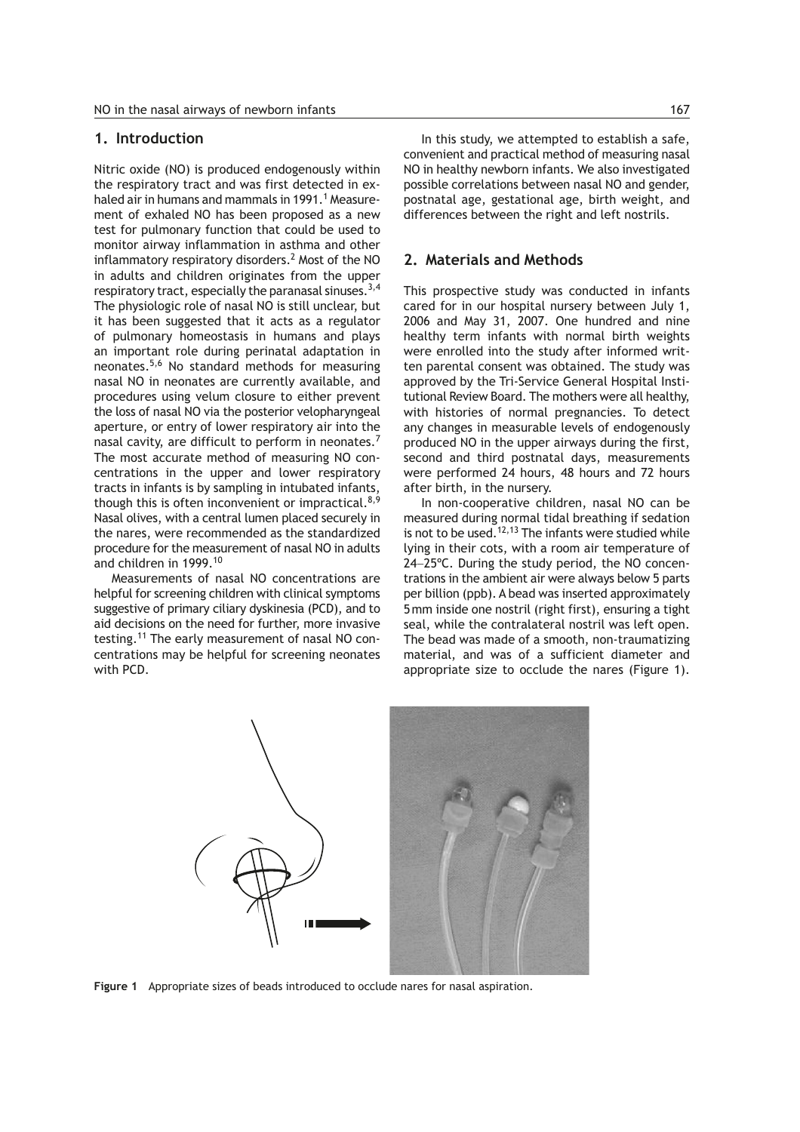## **1. Introduction**

Nitric oxide (NO) is produced endogenously within the respiratory tract and was first detected in exhaled air in humans and mammals in 1991.<sup>1</sup> Measurement of exhaled NO has been proposed as a new test for pulmonary function that could be used to monitor airway inflammation in asthma and other inflammatory respiratory disorders.<sup>2</sup> Most of the NO in adults and children originates from the upper respiratory tract, especially the paranasal sinuses.<sup>3,4</sup> The physiologic role of nasal NO is still unclear, but it has been suggested that it acts as a regulator of pulmonary homeostasis in humans and plays an important role during perinatal adaptation in neonates.5,6 No standard methods for measuring nasal NO in neonates are currently available, and procedures using velum closure to either prevent the loss of nasal NO via the posterior velopharyngeal aperture, or entry of lower respiratory air into the nasal cavity, are difficult to perform in neonates.<sup>7</sup> The most accurate method of measuring NO concentrations in the upper and lower respiratory tracts in infants is by sampling in intubated infants, though this is often inconvenient or impractical. $8,9$ Nasal olives, with a central lumen placed securely in the nares, were recommended as the standardized procedure for the measurement of nasal NO in adults and children in 1999.10

Measurements of nasal NO concentrations are helpful for screening children with clinical symptoms suggestive of primary ciliary dyskinesia (PCD), and to aid decisions on the need for further, more invasive testing.<sup>11</sup> The early measurement of nasal NO concentrations may be helpful for screening neonates with PCD.

In this study, we attempted to establish a safe, convenient and practical method of measuring nasal NO in healthy newborn infants. We also investigated possible correlations between nasal NO and gender, postnatal age, gestational age, birth weight, and differences between the right and left nostrils.

#### **2. Materials and Methods**

This prospective study was conducted in infants cared for in our hospital nursery between July 1, 2006 and May 31, 2007. One hundred and nine healthy term infants with normal birth weights were enrolled into the study after informed written parental consent was obtained. The study was approved by the Tri-Service General Hospital Institutional Review Board. The mothers were all healthy, with histories of normal pregnancies. To detect any changes in measurable levels of endogenously produced NO in the upper airways during the first, second and third postnatal days, measurements were performed 24 hours, 48 hours and 72 hours after birth, in the nursery.

In non-cooperative children, nasal NO can be measured during normal tidal breathing if sedation is not to be used.<sup>12,13</sup> The infants were studied while lying in their cots, with a room air temperature of 24−25ºC. During the study period, the NO concentrations in the ambient air were always below 5 parts per billion (ppb). A bead was inserted approximately 5 mm inside one nostril (right first), ensuring a tight seal, while the contralateral nostril was left open. The bead was made of a smooth, non-traumatizing material, and was of a sufficient diameter and appropriate size to occlude the nares (Figure 1).



**Figure 1** Appropriate sizes of beads introduced to occlude nares for nasal aspiration.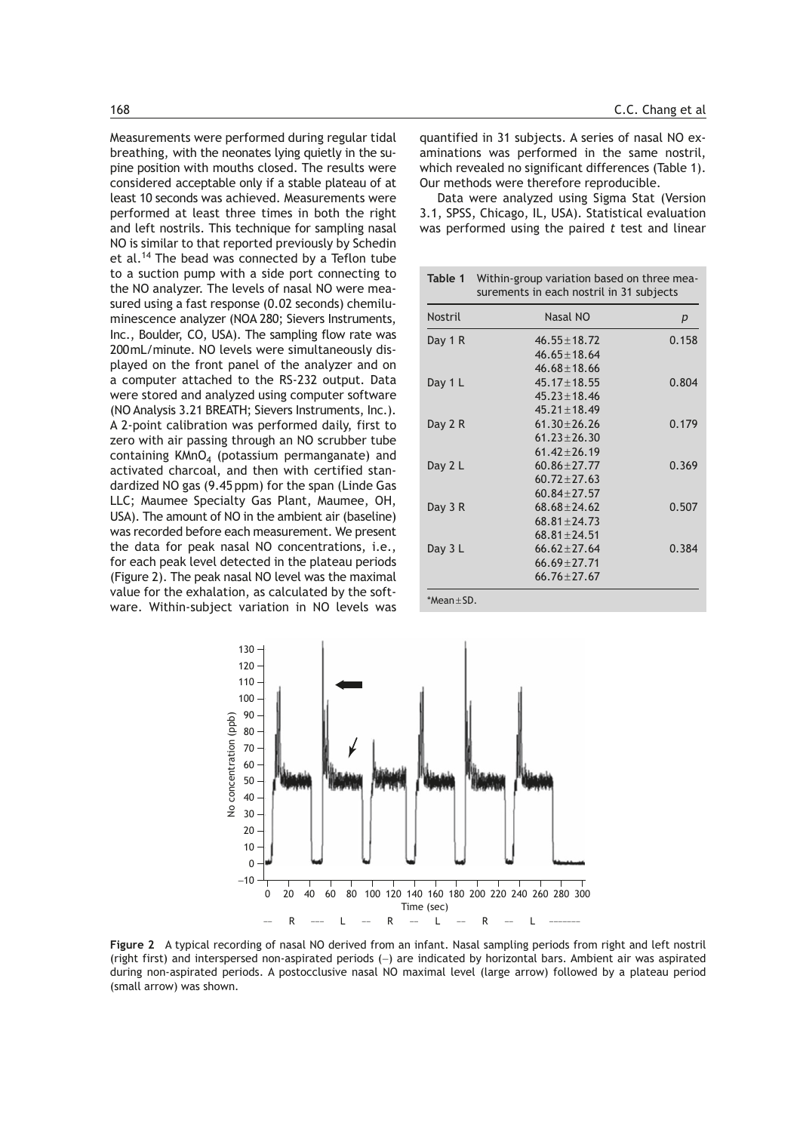Measurements were performed during regular tidal breathing, with the neonates lying quietly in the supine position with mouths closed. The results were considered acceptable only if a stable plateau of at least 10 seconds was achieved. Measurements were performed at least three times in both the right and left nostrils. This technique for sampling nasal NO is similar to that reported previously by Schedin et al.14 The bead was connected by a Teflon tube to a suction pump with a side port connecting to the NO analyzer. The levels of nasal NO were measured using a fast response (0.02 seconds) chemiluminescence analyzer (NOA 280; Sievers Instruments, Inc., Boulder, CO, USA). The sampling flow rate was 200 mL/minute. NO levels were simultaneously displayed on the front panel of the analyzer and on a computer attached to the RS-232 output. Data were stored and analyzed using computer software (NO Analysis 3.21 BREATH; Sievers Instruments, Inc.). A 2-point calibration was performed daily, first to zero with air passing through an NO scrubber tube containing  $KMD<sub>4</sub>$  (potassium permanganate) and activated charcoal, and then with certified standardized NO gas (9.45 ppm) for the span (Linde Gas LLC; Maumee Specialty Gas Plant, Maumee, OH, USA). The amount of NO in the ambient air (baseline) was recorded before each measurement. We present the data for peak nasal NO concentrations, i.e., for each peak level detected in the plateau periods (Figure 2). The peak nasal NO level was the maximal value for the exhalation, as calculated by the software. Within-subject variation in NO levels was quantified in 31 subjects. A series of nasal NO examinations was performed in the same nostril, which revealed no significant differences (Table 1). Our methods were therefore reproducible.

Data were analyzed using Sigma Stat (Version 3.1, SPSS, Chicago, IL, USA). Statistical evaluation was performed using the paired *t* test and linear

| Table 1        | Within-group variation based on three mea-<br>surements in each nostril in 31 subjects |       |  |
|----------------|----------------------------------------------------------------------------------------|-------|--|
| <b>Nostril</b> | Nasal NO                                                                               | p     |  |
| Day 1 R        | $46.55 \pm 18.72$                                                                      | 0.158 |  |
|                | $46.65 \pm 18.64$                                                                      |       |  |
|                | $46.68 + 18.66$                                                                        |       |  |
| Day 1 L        | $45.17 \pm 18.55$                                                                      | 0.804 |  |
|                | $45.23 \pm 18.46$                                                                      |       |  |
|                | $45.21 \pm 18.49$                                                                      |       |  |
| Day 2 R        | $61.30 + 26.26$                                                                        | 0.179 |  |
|                | $61.23 + 26.30$                                                                        |       |  |
|                | $61.47 + 76.19$                                                                        |       |  |
| Day 2 L        | $60.86 \pm 27.77$                                                                      | 0.369 |  |
|                | $60.72 + 27.63$                                                                        |       |  |
|                | $60.84 \pm 27.57$                                                                      |       |  |
| Day 3 R        | $68.68 + 24.62$                                                                        | 0.507 |  |
|                | $68.81 + 24.73$                                                                        |       |  |
|                | $68.81 + 24.51$                                                                        |       |  |
| Day 3 L        | $66.62 \pm 27.64$                                                                      | 0.384 |  |
|                | $66.69 \pm 27.71$                                                                      |       |  |
|                | $66.76 + 27.67$                                                                        |       |  |



**Figure 2** A typical recording of nasal NO derived from an infant. Nasal sampling periods from right and left nostril (right first) and interspersed non-aspirated periods (−) are indicated by horizontal bars. Ambient air was aspirated during non-aspirated periods. A postocclusive nasal NO maximal level (large arrow) followed by a plateau period (small arrow) was shown.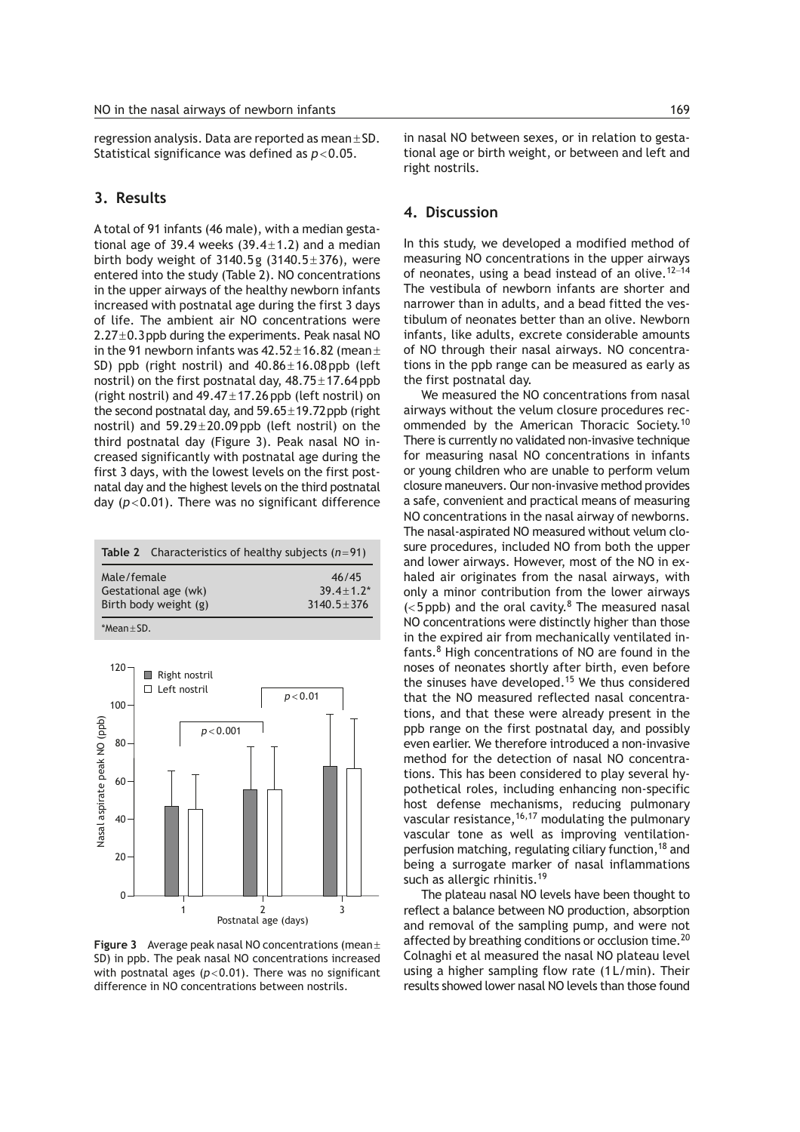regression analysis. Data are reported as mean $\pm$ SD. Statistical significance was defined as *p*< 0.05.

### **3. Results**

A total of 91 infants (46 male), with a median gestational age of 39.4 weeks  $(39.4 \pm 1.2)$  and a median birth body weight of  $3140.5g$  ( $3140.5 \pm 376$ ), were entered into the study (Table 2). NO concentrations in the upper airways of the healthy newborn infants increased with postnatal age during the first 3 days of life. The ambient air NO concentrations were  $2.27 \pm 0.3$  ppb during the experiments. Peak nasal NO in the 91 newborn infants was  $42.52 \pm 16.82$  (mean  $\pm$ SD) ppb (right nostril) and  $40.86 \pm 16.08$  ppb (left nostril) on the first postnatal day,  $48.75 \pm 17.64$  ppb (right nostril) and  $49.47 \pm 17.26$  ppb (left nostril) on the second postnatal day, and  $59.65 \pm 19.72$  ppb (right nostril) and  $59.29 \pm 20.09$  ppb (left nostril) on the third postnatal day (Figure 3). Peak nasal NO increased significantly with postnatal age during the first 3 days, with the lowest levels on the first postnatal day and the highest levels on the third postnatal day (*p*< 0.01). There was no significant difference

|                                                              | <b>Table 2</b> Characteristics of healthy subjects $(n=91)$ |                                            |
|--------------------------------------------------------------|-------------------------------------------------------------|--------------------------------------------|
| Male/female<br>Gestational age (wk)<br>Birth body weight (g) |                                                             | 46/45<br>$39.4 + 1.2*$<br>$3140.5 \pm 376$ |
| $*$ Mean + SD.                                               |                                                             |                                            |



Figure 3 Average peak nasal NO concentrations (mean ± SD) in ppb. The peak nasal NO concentrations increased with postnatal ages (*p*< 0.01). There was no significant difference in NO concentrations between nostrils.

in nasal NO between sexes, or in relation to gestational age or birth weight, or between and left and right nostrils.

#### **4. Discussion**

In this study, we developed a modified method of measuring NO concentrations in the upper airways of neonates, using a bead instead of an olive.<sup>12</sup>−<sup>14</sup> The vestibula of newborn infants are shorter and narrower than in adults, and a bead fitted the vestibulum of neonates better than an olive. Newborn infants, like adults, excrete considerable amounts of NO through their nasal airways. NO concentrations in the ppb range can be measured as early as the first postnatal day.

We measured the NO concentrations from nasal airways without the velum closure procedures recommended by the American Thoracic Society.10 There is currently no validated non-invasive technique for measuring nasal NO concentrations in infants or young children who are unable to perform velum closure maneuvers. Our non-invasive method provides a safe, convenient and practical means of measuring NO concentrations in the nasal airway of newborns. The nasal-aspirated NO measured without velum closure procedures, included NO from both the upper and lower airways. However, most of the NO in exhaled air originates from the nasal airways, with only a minor contribution from the lower airways  $(<sub>5</sub>$ ppb) and the oral cavity.<sup>8</sup> The measured nasal NO concentrations were distinctly higher than those in the expired air from mechanically ventilated infants.<sup>8</sup> High concentrations of NO are found in the noses of neonates shortly after birth, even before the sinuses have developed.15 We thus considered that the NO measured reflected nasal concentrations, and that these were already present in the ppb range on the first postnatal day, and possibly even earlier. We therefore introduced a non-invasive method for the detection of nasal NO concentrations. This has been considered to play several hypothetical roles, including enhancing non-specific host defense mechanisms, reducing pulmonary vascular resistance,  $16,17$  modulating the pulmonary vascular tone as well as improving ventilationperfusion matching, regulating ciliary function,18 and being a surrogate marker of nasal inflammations such as allergic rhinitis.<sup>19</sup>

The plateau nasal NO levels have been thought to reflect a balance between NO production, absorption and removal of the sampling pump, and were not affected by breathing conditions or occlusion time.<sup>20</sup> Colnaghi et al measured the nasal NO plateau level using a higher sampling flow rate (1 L/min). Their results showed lower nasal NO levels than those found